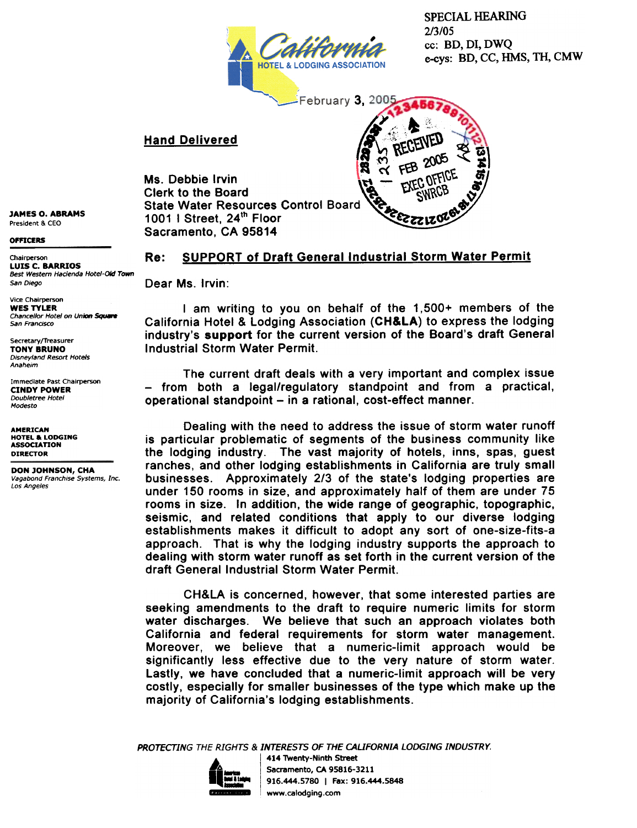

SPECIAL HEARING 2/3/05 cc: BD, DI, DWQ e-cys: BD, CC, HMS, TH, CMW

 $\bf{z}$ 

3,

". ~

 $\frac{1}{2}$  on  $\frac{1}{2}$ 

## Hand Delivered

Ms. Debbie Irvin Clerk to the Board State Water Resources Control Board 1001 I Street,  $24^{\text{th}}$  Floor Sacramento, CA 95814

**JAMES O. ABRAMS** President & CEO

OfFICERS

Chairperson **Re: LUIS C. BARRIOS**<br>Best Western Hacienda Hotel-Old Town San Diego **Dear Ms. Irvin:** 

Vice Chairperson<br>WES TYLER Chancellor Hotel on Union Square San Frandsco

Secretary/Treasurer TONY BRUNO **Disneyland Resort Hotels** Anaheim

Immediate Past Chairperson CINDY POWER Doubletree Hotel Modesto

**AMERICAN** HOTEL & LODGING ASSOCIATION<br>DIRECTOR

DON JOHNSON, CHA vagabond Franchise Systems, Inc. Los Angeles

**SUPPORT of Draft General Industrial Storm Water Permit** 

I am writing to you on behalf of the  $1,500+$  members of the California Hotel & Lodging Association (CH&LA) to express the lodging industry's support for the current version of the Board's draft General Industrial Storm Water Permit.

The current draft deals with a very important and complex issue - from both a legal/regulatory standpoint and from a practical, operational standpoint - in a rational, cost-effect manner.

Dealing with the need to address the issue of storm water runoff is particular problematic of segments of the business community like the lodging industry. The vast majority of hotels, inns, spas, guest ranches, and other lodging establishments in California are truly small businesses. Approximately 2/3 of the state's lodging properties are under 150 rooms in size, and approximately half of them are under 75 rooms in size. In addition, the wide range of geographic, topographic, seismic, and related conditions that apply to our diverse lodging establishments makes it difficult to adopt any sort of one-size-fits-a approach. That is why the lodging industry supports the approach to dealing with storm water runoff as set forth in the current version of the draft General Industrial Storm Water Permit.

CH&LA is concerned, however, that some interested parties are seeking amendments to the draft to require numeric limits for storm water discharges. We believe that such an approach violates both California and federal requirements for storm water management. Moreover, we believe that a numeric-limit approach would be significantly less effective due to the very nature of storm water. Lastly, we have concluded that a numeric-limit approach will be very costly, especially for smaller businesses of the type which make up the majority of California's lodging establishments.

PROTECTING THE RIGHTS & INTERESTS OF THE CAUFORNIA LODGING INDUSTRY.



414 Twenty-Ninth Street Sacramento, CA 95816-3211 916.444.5780 | Fax: 916.444.5848 ,www.calodging.com